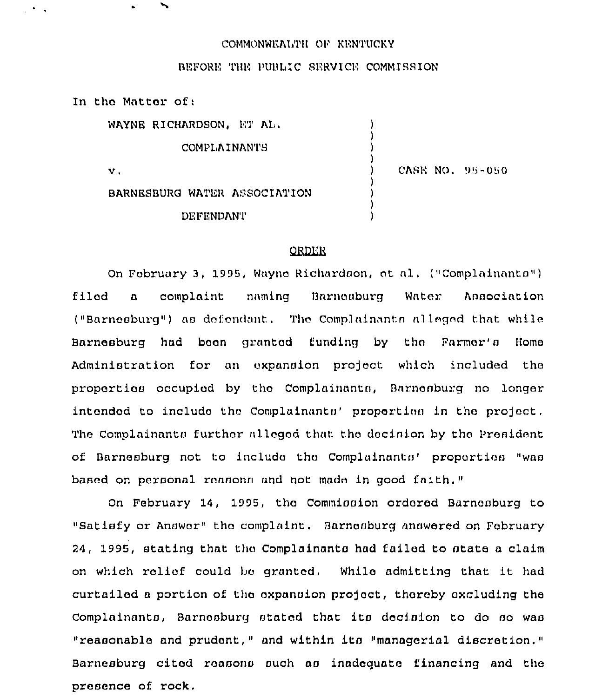## COMMONWEALTH OF KENTUCKY

## BEFORE THE PUBLIC SERVICE COMMISSION

In the Matter of:

 $\mathcal{L}$ 

 $\overline{\phantom{a}}$ 

| WAYNE RICHARDSON, ET AL.     |                 |
|------------------------------|-----------------|
| <b>COMPLAINANTS</b>          |                 |
| $\mathbf{v}$ .               | CASE NO. 95-050 |
| BARNESBURG WATER ASSOCIATION |                 |
| <b>DEFENDANT</b>             |                 |

## **ORDER**

On February 3, 1995, Wayne Richardson, et al. ("Complainants") filod a complaint naming Barnosburg Water Association ("Barnesburg") as defendant. The Complainants alleged that while Barnesburg had boon granted funding by tho Farmer'a Home Administration for an expansion prefect which included the properties occupied by tho Complainanta, Barnenburg no longer intended to include the Complainants' properties in the project. The Complainants further alleged that the decision by the President of Barnesburg not to include the Complainants' properties "was based on personal reasons and not made in good faith."

On February 14, 1995, the Commission ordered Barnesburg to "Satisfy or Answer" the complaint. Barnesburg answered on February 24, 1995, stating that tho Complainanta had failed to state a claim on which reliof. could bo granted. While admitting that it had curtailed a portion of the expansion project, thereby excluding the Complainanta, Barnoaburg stated that ita decision to do ao waa "reasonable and prudent," and within ita "managerial discretion." Barnesburg cited reasons such as inadequate financing and the presence of rock.